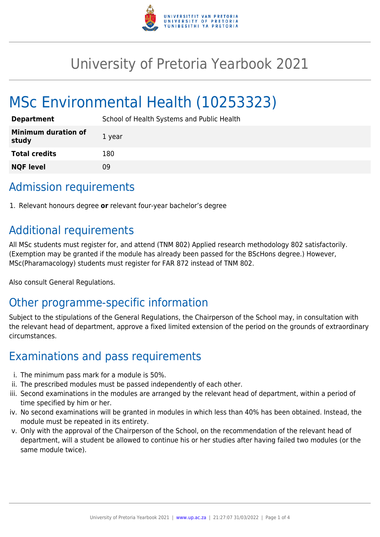

# University of Pretoria Yearbook 2021

# MSc Environmental Health (10253323)

| <b>Department</b>                   | School of Health Systems and Public Health |
|-------------------------------------|--------------------------------------------|
| <b>Minimum duration of</b><br>study | 1 year                                     |
| <b>Total credits</b>                | 180                                        |
| <b>NQF level</b>                    | 09                                         |

# Admission requirements

1. Relevant honours degree **or** relevant four-year bachelor's degree

# Additional requirements

All MSc students must register for, and attend (TNM 802) Applied research methodology 802 satisfactorily. (Exemption may be granted if the module has already been passed for the BScHons degree.) However, MSc(Pharamacology) students must register for FAR 872 instead of TNM 802.

Also consult General Regulations.

# Other programme-specific information

Subject to the stipulations of the General Regulations, the Chairperson of the School may, in consultation with the relevant head of department, approve a fixed limited extension of the period on the grounds of extraordinary circumstances.

# Examinations and pass requirements

- i. The minimum pass mark for a module is 50%.
- ii. The prescribed modules must be passed independently of each other.
- iii. Second examinations in the modules are arranged by the relevant head of department, within a period of time specified by him or her.
- iv. No second examinations will be granted in modules in which less than 40% has been obtained. Instead, the module must be repeated in its entirety.
- v. Only with the approval of the Chairperson of the School, on the recommendation of the relevant head of department, will a student be allowed to continue his or her studies after having failed two modules (or the same module twice).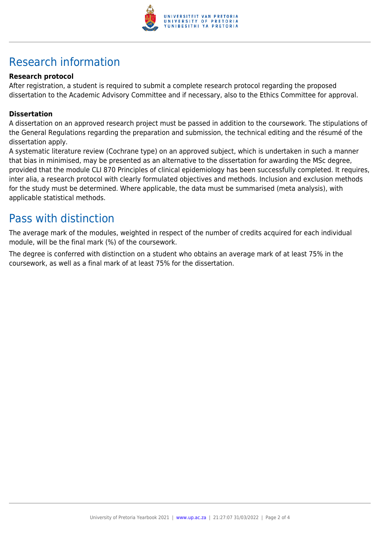

# Research information

### **Research protocol**

After registration, a student is required to submit a complete research protocol regarding the proposed dissertation to the Academic Advisory Committee and if necessary, also to the Ethics Committee for approval.

#### **Dissertation**

A dissertation on an approved research project must be passed in addition to the coursework. The stipulations of the General Regulations regarding the preparation and submission, the technical editing and the résumé of the dissertation apply.

A systematic literature review (Cochrane type) on an approved subject, which is undertaken in such a manner that bias in minimised, may be presented as an alternative to the dissertation for awarding the MSc degree, provided that the module CLI 870 Principles of clinical epidemiology has been successfully completed. It requires, inter alia, a research protocol with clearly formulated objectives and methods. Inclusion and exclusion methods for the study must be determined. Where applicable, the data must be summarised (meta analysis), with applicable statistical methods.

### Pass with distinction

The average mark of the modules, weighted in respect of the number of credits acquired for each individual module, will be the final mark (%) of the coursework.

The degree is conferred with distinction on a student who obtains an average mark of at least 75% in the coursework, as well as a final mark of at least 75% for the dissertation.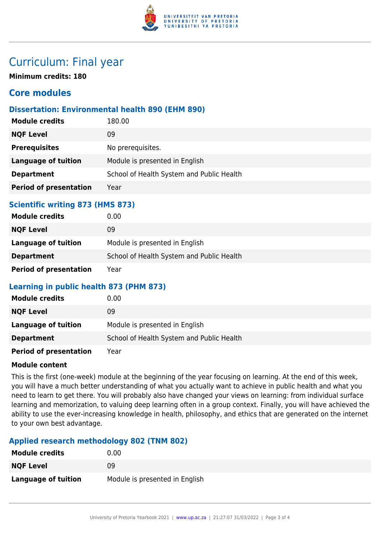

# Curriculum: Final year

**Minimum credits: 180**

### **Core modules**

### **Dissertation: Environmental health 890 (EHM 890)**

| <b>Module credits</b>         | 180.00                                    |
|-------------------------------|-------------------------------------------|
| <b>NQF Level</b>              | 09                                        |
| <b>Prerequisites</b>          | No prerequisites.                         |
| <b>Language of tuition</b>    | Module is presented in English            |
| <b>Department</b>             | School of Health System and Public Health |
| <b>Period of presentation</b> | Year                                      |
|                               |                                           |

### **Scientific writing 873 (HMS 873)**

| <b>Module credits</b>         | 0.00                                      |
|-------------------------------|-------------------------------------------|
| <b>NQF Level</b>              | 09                                        |
| Language of tuition           | Module is presented in English            |
| <b>Department</b>             | School of Health System and Public Health |
| <b>Period of presentation</b> | Year                                      |

### **Learning in public health 873 (PHM 873)**

| <b>Module credits</b>         | 0.00                                      |
|-------------------------------|-------------------------------------------|
| <b>NQF Level</b>              | 09                                        |
| Language of tuition           | Module is presented in English            |
| <b>Department</b>             | School of Health System and Public Health |
| <b>Period of presentation</b> | Year                                      |

#### **Module content**

This is the first (one-week) module at the beginning of the year focusing on learning. At the end of this week, you will have a much better understanding of what you actually want to achieve in public health and what you need to learn to get there. You will probably also have changed your views on learning: from individual surface learning and memorization, to valuing deep learning often in a group context. Finally, you will have achieved the ability to use the ever-increasing knowledge in health, philosophy, and ethics that are generated on the internet to your own best advantage.

### **Applied research methodology 802 (TNM 802)**

| <b>Module credits</b> | 0.00                           |
|-----------------------|--------------------------------|
| <b>NQF Level</b>      | 09                             |
| Language of tuition   | Module is presented in English |